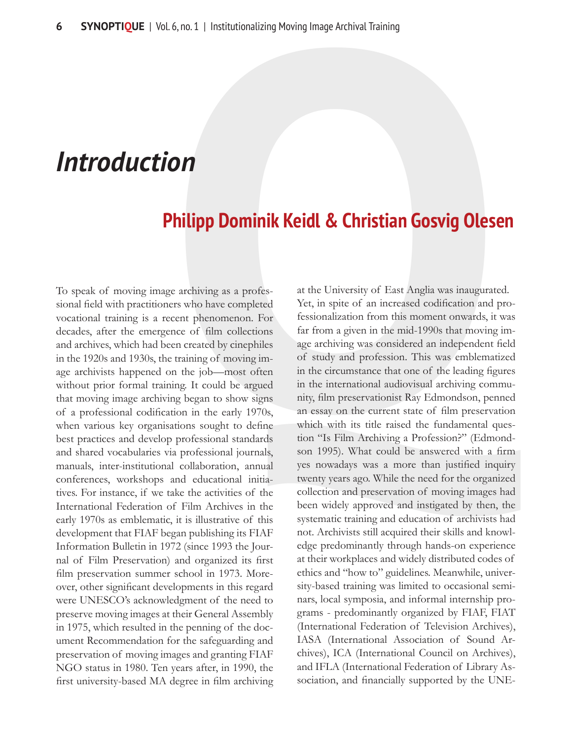## *Introduction*

## **Philipp Dominik Keidl & Christian Gosvig Olesen**

To speak of moving image archiving as a professional field with practitioners who have completed vocational training is a recent phenomenon. For decades, after the emergence of film collections and archives, which had been created by cinephiles in the 1920s and 1930s, the training of moving image archivists happened on the job—most often without prior formal training. It could be argued that moving image archiving began to show signs of a professional codification in the early 1970s, when various key organisations sought to define best practices and develop professional standards and shared vocabularies via professional journals, manuals, inter-institutional collaboration, annual conferences, workshops and educational initiatives. For instance, if we take the activities of the International Federation of Film Archives in the early 1970s as emblematic, it is illustrative of this development that FIAF began publishing its FIAF Information Bulletin in 1972 (since 1993 the Journal of Film Preservation) and organized its first film preservation summer school in 1973. Moreover, other significant developments in this regard were UNESCO's acknowledgment of the need to preserve moving images at their General Assembly in 1975, which resulted in the penning of the document Recommendation for the safeguarding and preservation of moving images and granting FIAF NGO status in 1980. Ten years after, in 1990, the first university-based MA degree in film archiving

at the University of East Anglia was inaugurated. Yet, in spite of an increased codification and professionalization from this moment onwards, it was far from a given in the mid-1990s that moving image archiving was considered an independent field of study and profession. This was emblematized in the circumstance that one of the leading figures in the international audiovisual archiving community, film preservationist Ray Edmondson, penned an essay on the current state of film preservation which with its title raised the fundamental question "Is Film Archiving a Profession?" (Edmondson 1995). What could be answered with a firm yes nowadays was a more than justified inquiry twenty years ago. While the need for the organized collection and preservation of moving images had been widely approved and instigated by then, the systematic training and education of archivists had not. Archivists still acquired their skills and knowledge predominantly through hands-on experience at their workplaces and widely distributed codes of ethics and "how to" guidelines. Meanwhile, university-based training was limited to occasional seminars, local symposia, and informal internship programs - predominantly organized by FIAF, FIAT (International Federation of Television Archives), IASA (International Association of Sound Archives), ICA (International Council on Archives), and IFLA (International Federation of Library Association, and financially supported by the UNE-1.6, no. 1 | Institutionalizing Moving Image Archival Training<br> **COM**<br> **COM**<br> **COM**<br> **COM**<br> **COM**<br> **COM**<br> **COM**<br> **COM**<br> **COM**<br> **COM**<br> **COM**<br> **COM**<br> **COM**<br> **COM**<br> **COM**<br> **COM**<br> **COM**<br> **COM**<br> **COM**<br> **COM**<br> **COM**<br> **COM**<br> **COM**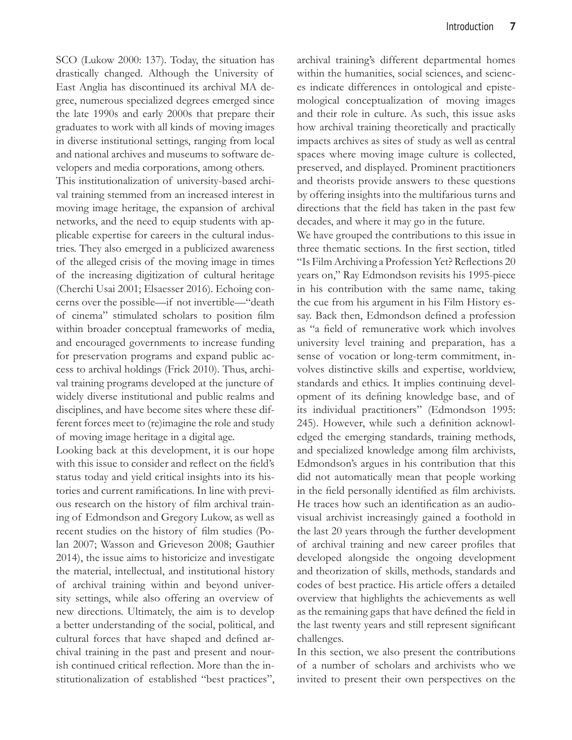SCO (Lukow 2000: 137). Today, the situation has drastically changed. Although the University of East Anglia has discontinued its archival MA degree, numerous specialized degrees emerged since the late 1990s and early 2000s that prepare their graduates to work with all kinds of moving images in diverse institutional settings, ranging from local and national archives and museums to software de-

velopers and media corporations, among others.

This institutionalization of university-based archival training stemmed from an increased interest in moving image heritage, the expansion of archival networks, and the need to equip students with applicable expertise for careers in the cultural industries. They also emerged in a publicized awareness of the alleged crisis of the moving image in times of the increasing digitization of cultural heritage (Cherchi Usai 2001; Elsaesser 2016). Echoing concerns over the possible—if not invertible—"death of cinema" stimulated scholars to position film within broader conceptual frameworks of media, and encouraged governments to increase funding for preservation programs and expand public access to archival holdings (Frick 2010). Thus, archival training programs developed at the juncture of widely diverse institutional and public realms and disciplines, and have become sites where these different forces meet to (re)imagine the role and study of moving image heritage in a digital age.

Looking back at this development, it is our hope with this issue to consider and reflect on the field's status today and yield critical insights into its histories and current ramifications. In line with previous research on the history of film archival training of Edmondson and Gregory Lukow, as well as recent studies on the history of film studies (Polan 2007; Wasson and Grieveson 2008; Gauthier 2014), the issue aims to historicize and investigate the material, intellectual, and institutional history of archival training within and beyond university settings, while also offering an overview of new directions. Ultimately, the aim is to develop a better understanding of the social, political, and cultural forces that have shaped and defined archival training in the past and present and nourish continued critical reflection. More than the institutionalization of established "best practices",

archival training's different departmental homes within the humanities, social sciences, and sciences indicate differences in ontological and epistemological conceptualization of moving images and their role in culture. As such, this issue asks how archival training theoretically and practically impacts archives as sites of study as well as central spaces where moving image culture is collected, preserved, and displayed. Prominent practitioners and theorists provide answers to these questions by offering insights into the multifarious turns and directions that the field has taken in the past few decades, and where it may go in the future.

We have grouped the contributions to this issue in three thematic sections. In the first section, titled "Is Film Archiving a Profession Yet? Reflections 20 years on," Ray Edmondson revisits his 1995-piece in his contribution with the same name, taking the cue from his argument in his Film History essay. Back then, Edmondson defined a profession as "a field of remunerative work which involves university level training and preparation, has a sense of vocation or long-term commitment, involves distinctive skills and expertise, worldview, standards and ethics. It implies continuing development of its defining knowledge base, and of its individual practitioners" (Edmondson 1995: 245). However, while such a definition acknowledged the emerging standards, training methods, and specialized knowledge among film archivists, Edmondson's argues in his contribution that this did not automatically mean that people working in the field personally identified as film archivists. He traces how such an identification as an audiovisual archivist increasingly gained a foothold in the last 20 years through the further development of archival training and new career profiles that developed alongside the ongoing development and theorization of skills, methods, standards and codes of best practice. His article offers a detailed overview that highlights the achievements as well as the remaining gaps that have defined the field in the last twenty years and still represent significant challenges.

In this section, we also present the contributions of a number of scholars and archivists who we invited to present their own perspectives on the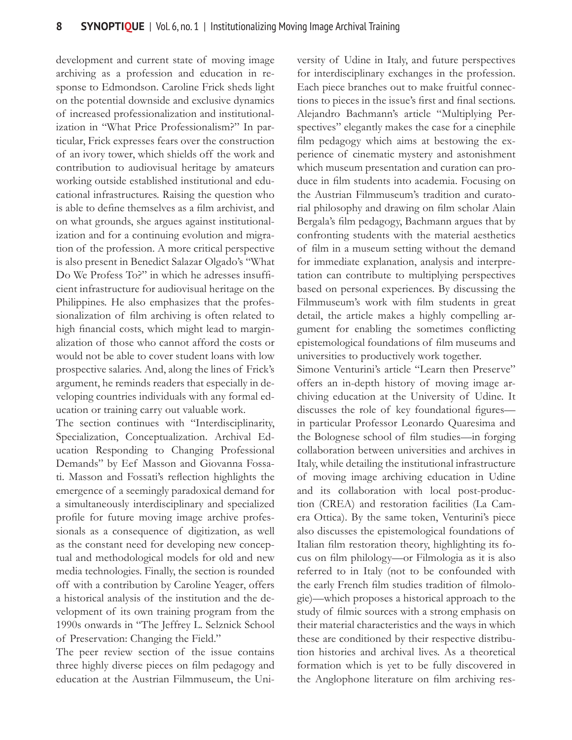development and current state of moving image archiving as a profession and education in response to Edmondson. Caroline Frick sheds light on the potential downside and exclusive dynamics of increased professionalization and institutionalization in "What Price Professionalism?" In particular, Frick expresses fears over the construction of an ivory tower, which shields off the work and contribution to audiovisual heritage by amateurs working outside established institutional and educational infrastructures. Raising the question who is able to define themselves as a film archivist, and on what grounds, she argues against institutionalization and for a continuing evolution and migration of the profession. A more critical perspective is also present in Benedict Salazar Olgado's "What Do We Profess To?" in which he adresses insufficient infrastructure for audiovisual heritage on the Philippines. He also emphasizes that the professionalization of film archiving is often related to high financial costs, which might lead to marginalization of those who cannot afford the costs or would not be able to cover student loans with low prospective salaries. And, along the lines of Frick's argument, he reminds readers that especially in developing countries individuals with any formal education or training carry out valuable work.

The section continues with "Interdisciplinarity, Specialization, Conceptualization. Archival Education Responding to Changing Professional Demands" by Eef Masson and Giovanna Fossati. Masson and Fossati's reflection highlights the emergence of a seemingly paradoxical demand for a simultaneously interdisciplinary and specialized profile for future moving image archive professionals as a consequence of digitization, as well as the constant need for developing new conceptual and methodological models for old and new media technologies. Finally, the section is rounded off with a contribution by Caroline Yeager, offers a historical analysis of the institution and the development of its own training program from the 1990s onwards in "The Jeffrey L. Selznick School of Preservation: Changing the Field."

The peer review section of the issue contains three highly diverse pieces on film pedagogy and education at the Austrian Filmmuseum, the University of Udine in Italy, and future perspectives for interdisciplinary exchanges in the profession. Each piece branches out to make fruitful connections to pieces in the issue's first and final sections. Alejandro Bachmann's article "Multiplying Perspectives" elegantly makes the case for a cinephile film pedagogy which aims at bestowing the experience of cinematic mystery and astonishment which museum presentation and curation can produce in film students into academia. Focusing on the Austrian Filmmuseum's tradition and curatorial philosophy and drawing on film scholar Alain Bergala's film pedagogy, Bachmann argues that by confronting students with the material aesthetics of film in a museum setting without the demand for immediate explanation, analysis and interpretation can contribute to multiplying perspectives based on personal experiences. By discussing the Filmmuseum's work with film students in great detail, the article makes a highly compelling argument for enabling the sometimes conflicting epistemological foundations of film museums and universities to productively work together. Simone Venturini's article "Learn then Preserve"

offers an in-depth history of moving image archiving education at the University of Udine. It discusses the role of key foundational figures in particular Professor Leonardo Quaresima and the Bolognese school of film studies—in forging collaboration between universities and archives in Italy, while detailing the institutional infrastructure of moving image archiving education in Udine and its collaboration with local post-production (CREA) and restoration facilities (La Camera Ottica). By the same token, Venturini's piece also discusses the epistemological foundations of Italian film restoration theory, highlighting its focus on film philology—or Filmologia as it is also referred to in Italy (not to be confounded with the early French film studies tradition of filmologie)—which proposes a historical approach to the study of filmic sources with a strong emphasis on their material characteristics and the ways in which these are conditioned by their respective distribution histories and archival lives. As a theoretical formation which is yet to be fully discovered in the Anglophone literature on film archiving res-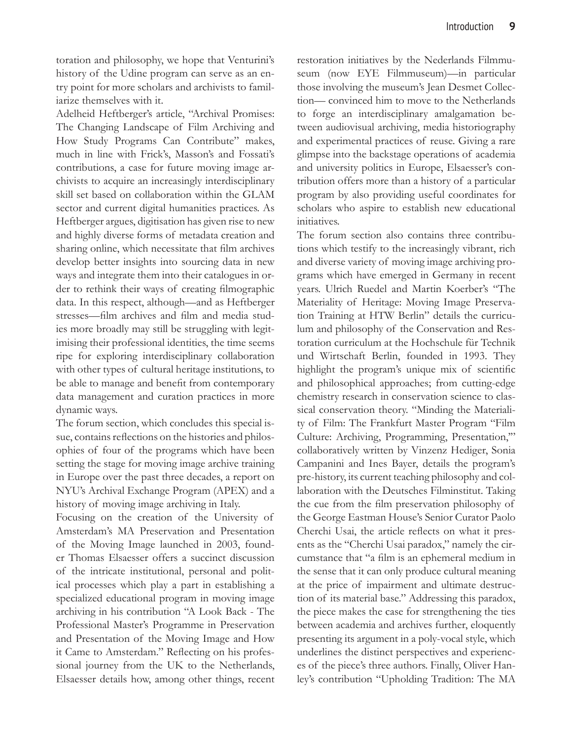toration and philosophy, we hope that Venturini's history of the Udine program can serve as an entry point for more scholars and archivists to familiarize themselves with it.

Adelheid Heftberger's article, "Archival Promises: The Changing Landscape of Film Archiving and How Study Programs Can Contribute" makes, much in line with Frick's, Masson's and Fossati's contributions, a case for future moving image archivists to acquire an increasingly interdisciplinary skill set based on collaboration within the GLAM sector and current digital humanities practices. As Heftberger argues, digitisation has given rise to new and highly diverse forms of metadata creation and sharing online, which necessitate that film archives develop better insights into sourcing data in new ways and integrate them into their catalogues in order to rethink their ways of creating filmographic data. In this respect, although—and as Heftberger stresses—film archives and film and media studies more broadly may still be struggling with legitimising their professional identities, the time seems ripe for exploring interdisciplinary collaboration with other types of cultural heritage institutions, to be able to manage and benefit from contemporary data management and curation practices in more dynamic ways.

The forum section, which concludes this special issue, contains reflections on the histories and philosophies of four of the programs which have been setting the stage for moving image archive training in Europe over the past three decades, a report on NYU's Archival Exchange Program (APEX) and a history of moving image archiving in Italy.

Focusing on the creation of the University of Amsterdam's MA Preservation and Presentation of the Moving Image launched in 2003, founder Thomas Elsaesser offers a succinct discussion of the intricate institutional, personal and political processes which play a part in establishing a specialized educational program in moving image archiving in his contribution "A Look Back - The Professional Master's Programme in Preservation and Presentation of the Moving Image and How it Came to Amsterdam." Reflecting on his professional journey from the UK to the Netherlands, Elsaesser details how, among other things, recent restoration initiatives by the Nederlands Filmmuseum (now EYE Filmmuseum)—in particular those involving the museum's Jean Desmet Collection— convinced him to move to the Netherlands to forge an interdisciplinary amalgamation between audiovisual archiving, media historiography and experimental practices of reuse. Giving a rare glimpse into the backstage operations of academia and university politics in Europe, Elsaesser's contribution offers more than a history of a particular program by also providing useful coordinates for scholars who aspire to establish new educational initiatives.

The forum section also contains three contributions which testify to the increasingly vibrant, rich and diverse variety of moving image archiving programs which have emerged in Germany in recent years. Ulrich Ruedel and Martin Koerber's "The Materiality of Heritage: Moving Image Preservation Training at HTW Berlin" details the curriculum and philosophy of the Conservation and Restoration curriculum at the Hochschule für Technik und Wirtschaft Berlin, founded in 1993. They highlight the program's unique mix of scientific and philosophical approaches; from cutting-edge chemistry research in conservation science to classical conservation theory. "Minding the Materiality of Film: The Frankfurt Master Program "Film Culture: Archiving, Programming, Presentation,'" collaboratively written by Vinzenz Hediger, Sonia Campanini and Ines Bayer, details the program's pre-history, its current teaching philosophy and collaboration with the Deutsches Filminstitut. Taking the cue from the film preservation philosophy of the George Eastman House's Senior Curator Paolo Cherchi Usai, the article reflects on what it presents as the "Cherchi Usai paradox," namely the circumstance that "a film is an ephemeral medium in the sense that it can only produce cultural meaning at the price of impairment and ultimate destruction of its material base." Addressing this paradox, the piece makes the case for strengthening the ties between academia and archives further, eloquently presenting its argument in a poly-vocal style, which underlines the distinct perspectives and experiences of the piece's three authors. Finally, Oliver Hanley's contribution "Upholding Tradition: The MA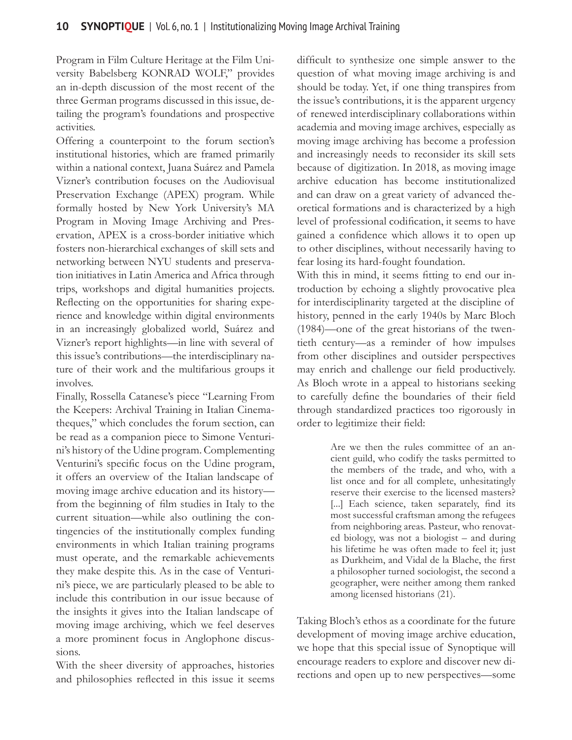Program in Film Culture Heritage at the Film University Babelsberg KONRAD WOLF," provides an in-depth discussion of the most recent of the three German programs discussed in this issue, detailing the program's foundations and prospective activities.

Offering a counterpoint to the forum section's institutional histories, which are framed primarily within a national context, Juana Suárez and Pamela Vizner's contribution focuses on the Audiovisual Preservation Exchange (APEX) program. While formally hosted by New York University's MA Program in Moving Image Archiving and Preservation, APEX is a cross-border initiative which fosters non-hierarchical exchanges of skill sets and networking between NYU students and preservation initiatives in Latin America and Africa through trips, workshops and digital humanities projects. Reflecting on the opportunities for sharing experience and knowledge within digital environments in an increasingly globalized world, Suárez and Vizner's report highlights—in line with several of this issue's contributions—the interdisciplinary nature of their work and the multifarious groups it involves.

Finally, Rossella Catanese's piece "Learning From the Keepers: Archival Training in Italian Cinematheques," which concludes the forum section, can be read as a companion piece to Simone Venturini's history of the Udine program. Complementing Venturini's specific focus on the Udine program, it offers an overview of the Italian landscape of moving image archive education and its history from the beginning of film studies in Italy to the current situation—while also outlining the contingencies of the institutionally complex funding environments in which Italian training programs must operate, and the remarkable achievements they make despite this. As in the case of Venturini's piece, we are particularly pleased to be able to include this contribution in our issue because of the insights it gives into the Italian landscape of moving image archiving, which we feel deserves a more prominent focus in Anglophone discussions.

With the sheer diversity of approaches, histories and philosophies reflected in this issue it seems

difficult to synthesize one simple answer to the question of what moving image archiving is and should be today. Yet, if one thing transpires from the issue's contributions, it is the apparent urgency of renewed interdisciplinary collaborations within academia and moving image archives, especially as moving image archiving has become a profession and increasingly needs to reconsider its skill sets because of digitization. In 2018, as moving image archive education has become institutionalized and can draw on a great variety of advanced theoretical formations and is characterized by a high level of professional codification, it seems to have gained a confidence which allows it to open up to other disciplines, without necessarily having to fear losing its hard-fought foundation.

With this in mind, it seems fitting to end our introduction by echoing a slightly provocative plea for interdisciplinarity targeted at the discipline of history, penned in the early 1940s by Marc Bloch (1984)—one of the great historians of the twentieth century—as a reminder of how impulses from other disciplines and outsider perspectives may enrich and challenge our field productively. As Bloch wrote in a appeal to historians seeking to carefully define the boundaries of their field through standardized practices too rigorously in order to legitimize their field:

> Are we then the rules committee of an ancient guild, who codify the tasks permitted to the members of the trade, and who, with a list once and for all complete, unhesitatingly reserve their exercise to the licensed masters? [...] Each science, taken separately, find its most successful craftsman among the refugees from neighboring areas. Pasteur, who renovated biology, was not a biologist – and during his lifetime he was often made to feel it; just as Durkheim, and Vidal de la Blache, the first a philosopher turned sociologist, the second a geographer, were neither among them ranked among licensed historians (21).

Taking Bloch's ethos as a coordinate for the future development of moving image archive education, we hope that this special issue of Synoptique will encourage readers to explore and discover new directions and open up to new perspectives—some